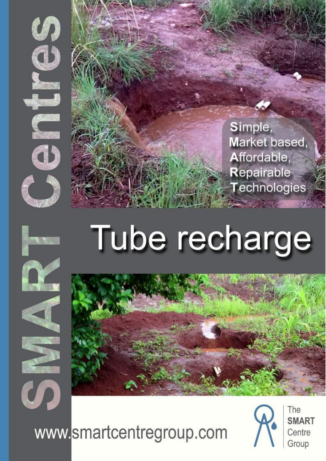

Simple, Market based, Affordable, Repairable Technologies

# Tube recharge



www.smartcentregroup.com



The **SMART** Centre Group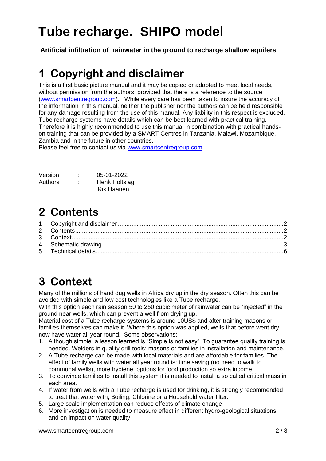## **Tube recharge. SHIPO model**

<span id="page-1-0"></span>**Artificial infiltration of rainwater in the ground to recharge shallow aquifers**

#### **1 Copyright and disclaimer**

This is a first basic picture manual and it may be copied or adapted to meet local needs, without permission from the authors, provided that there is a reference to the source [\(www.smartcentregroup.com\)](http://www.smartcentregroup.com/). While every care has been taken to insure the accuracy of the information in this manual, neither the publisher nor the authors can be held responsible for any damage resulting from the use of this manual. Any liability in this respect is excluded. Tube recharge systems have details which can be best learned with practical training. Therefore it is highly recommended to use this manual in combination with practical handson training that can be provided by a SMART Centres in Tanzania, Malawi, Mozambique, Zambia and in the future in other countries.

Please feel free to contact us via [www.smartcentregroup.com](http://www.smartcentregroup.com/)

| Version | ٠<br>٠ | 05-01-2022           |
|---------|--------|----------------------|
| Authors | ٠<br>٠ | <b>Henk Holtslag</b> |
|         |        | Rik Haanen           |

#### <span id="page-1-1"></span>**2 Contents**

### <span id="page-1-2"></span>**3 Context**

Many of the millions of hand dug wells in Africa dry up in the dry season. Often this can be avoided with simple and low cost technologies like a Tube recharge.

With this option each rain season 50 to 250 cubic meter of rainwater can be "injected" in the ground near wells, which can prevent a well from drying up.

Material cost of a Tube recharge systems is around 10US\$ and after training masons or families themselves can make it. Where this option was applied, wells that before went dry now have water all year round. Some observations:

- 1. Although simple, a lesson learned is "Simple is not easy". To guarantee quality training is needed. Welders in quality drill tools; masons or families in installation and maintenance.
- 2. A Tube recharge can be made with local materials and are affordable for families. The effect of family wells with water all year round is: time saving (no need to walk to communal wells), more hygiene, options for food production so extra income
- 3. To convince families to install this system it is needed to install a so called critical mass in each area.
- 4. If water from wells with a Tube recharge is used for drinking, it is strongly recommended to treat that water with, Boiling, Chlorine or a Household water filter.
- 5. Large scale implementation can reduce effects of climate change
- 6. More investigation is needed to measure effect in different hydro-geological situations and on impact on water quality.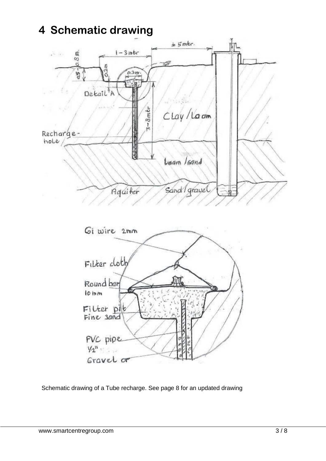#### <span id="page-2-0"></span>**4 Schematic drawing**



Schematic drawing of a Tube recharge. See page 8 for an updated drawing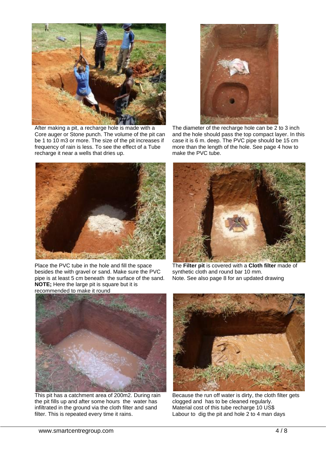

After making a pit, a recharge hole is made with a Core auger or Stone punch. The volume of the pit can be 1 to 10 m3 or more. The size of the pit increases if frequency of rain is less. To see the effect of a Tube recharge it near a wells that dries up.



The diameter of the recharge hole can be 2 to 3 inch and the hole should pass the top compact layer. In this case it is 6 m. deep. The PVC pipe should be 15 cm more than the length of the hole. See page 4 how to make the PVC tube.



Place the PVC tube in the hole and fill the space besides the with gravel or sand. Make sure the PVC pipe is at least 5 cm beneath the surface of the sand. **NOTE;** Here the large pit is square but it is recommended to make it round



The **Filter pit** is covered with a **Cloth filter** made of synthetic cloth and round bar 10 mm. Note. See also page 8 for an updated drawing



This pit has a catchment area of 200m2. During rain the pit fills up and after some hours the water has infiltrated in the ground via the cloth filter and sand filter. This is repeated every time it rains.



Because the run off water is dirty, the cloth filter gets clogged and has to be cleaned regularly. Material cost of this tube recharge 10 US\$ Labour to dig the pit and hole 2 to 4 man days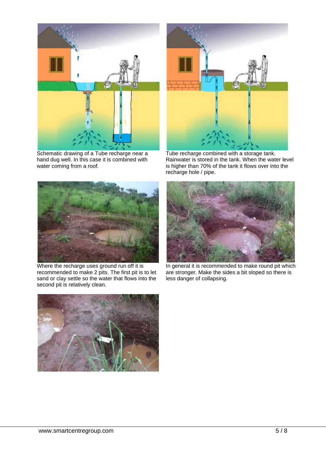

Schematic drawing of a Tube recharge near a hand dug well. In this case it is combined with water coming from a roof.



Tube recharge combined with a storage tank. Rainwater is stored in the tank. When the water level is higher than 70% of the tank it flows over into the recharge hole / pipe.



Where the recharge uses ground run off it is recommended to make 2 pits. The first pit is to let sand or clay settle so the water that flows into the second pit is relatively clean.



In general it is recommended to make round pit which are stronger. Make the sides a bit sloped so there is less danger of collapsing.

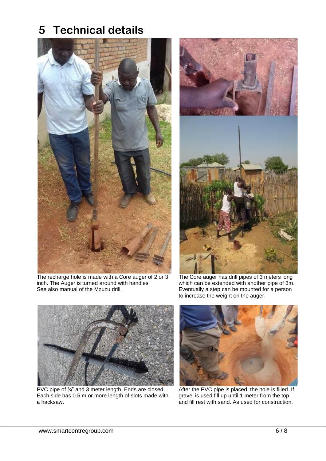#### <span id="page-5-0"></span>**5 Technical details**



The recharge hole is made with a Core auger of 2 or 3 inch. The Auger is turned around with handles See also manual of the Mzuzu drill.



The Core auger has drill pipes of 3 meters long which can be extended with another pipe of 3m. Eventually a step can be mounted for a person to increase the weight on the auger.



PVC pipe of 3/4" and 3 meter length. Ends are closed. Each side has 0.5 m or more length of slots made with a hacksaw.



After the PVC pipe is placed, the hole is filled. If gravel is used fill up until 1 meter from the top and fill rest with sand. As used for construction.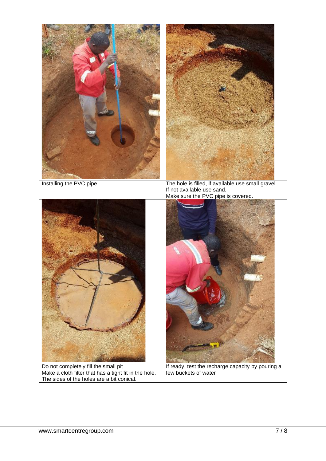